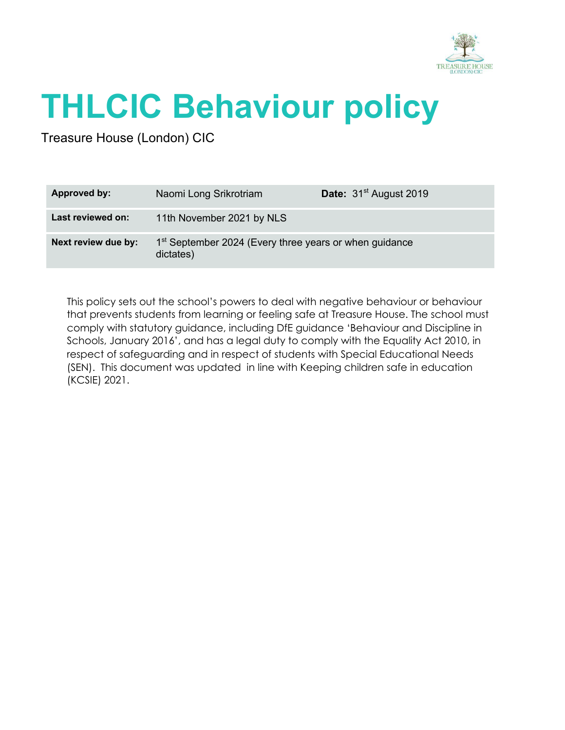

# **THLCIC Behaviour policy**

Treasure House (London) CIC

| Approved by:        | Naomi Long Srikrotriam                                                          | Date: 31 <sup>st</sup> August 2019 |
|---------------------|---------------------------------------------------------------------------------|------------------------------------|
| Last reviewed on:   | 11th November 2021 by NLS                                                       |                                    |
| Next review due by: | 1 <sup>st</sup> September 2024 (Every three years or when guidance<br>dictates) |                                    |

This policy sets out the school's powers to deal with negative behaviour or behaviour that prevents students from learning or feeling safe at Treasure House. The school must comply with statutory guidance, including DfE guidance 'Behaviour and Discipline in Schools, January 2016', and has a legal duty to comply with the Equality Act 2010, in respect of safeguarding and in respect of students with Special Educational Needs (SEN). This document was updated in line with Keeping children safe in education (KCSIE) 2021.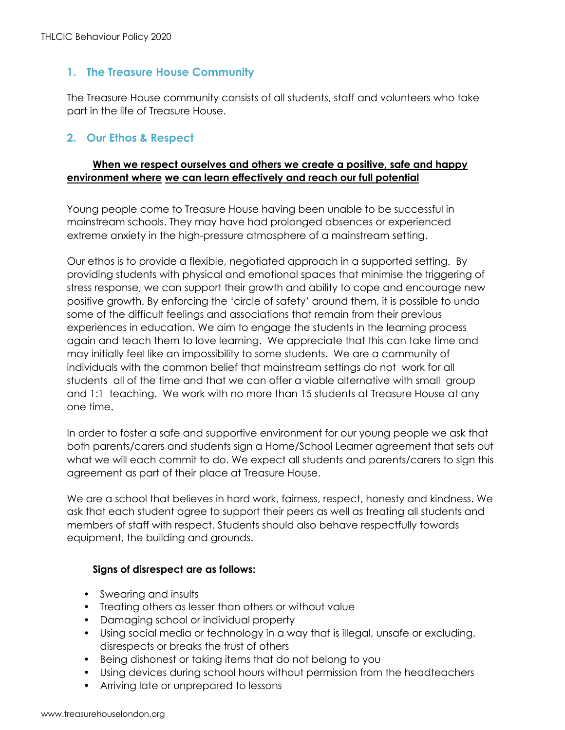# **1. The Treasure House Community**

The Treasure House community consists of all students, staff and volunteers who take part in the life of Treasure House.

# **2. Our Ethos & Respect**

# **When we respect ourselves and others we create a positive, safe and happy environment where we can learn effectively and reach our full potential**

Young people come to Treasure House having been unable to be successful in mainstream schools. They may have had prolonged absences or experienced extreme anxiety in the high-pressure atmosphere of a mainstream setting.

Our ethos is to provide a flexible, negotiated approach in a supported setting. By providing students with physical and emotional spaces that minimise the triggering of stress response, we can support their growth and ability to cope and encourage new positive growth. By enforcing the 'circle of safety' around them, it is possible to undo some of the difficult feelings and associations that remain from their previous experiences in education. We aim to engage the students in the learning process again and teach them to love learning. We appreciate that this can take time and may initially feel like an impossibility to some students. We are a community of individuals with the common belief that mainstream settings do not work for all students all of the time and that we can offer a viable alternative with small group and 1:1 teaching. We work with no more than 15 students at Treasure House at any one time.

In order to foster a safe and supportive environment for our young people we ask that both parents/carers and students sign a Home/School Learner agreement that sets out what we will each commit to do. We expect all students and parents/carers to sign this agreement as part of their place at Treasure House.

We are a school that believes in hard work, fairness, respect, honesty and kindness. We ask that each student agree to support their peers as well as treating all students and members of staff with respect. Students should also behave respectfully towards equipment, the building and grounds.

#### **Signs of disrespect are as follows:**

- Swearing and insults
- Treating others as lesser than others or without value
- Damaging school or individual property
- Using social media or technology in a way that is illegal, unsafe or excluding, disrespects or breaks the trust of others
- Being dishonest or taking items that do not belong to you
- Using devices during school hours without permission from the headteachers
- Arriving late or unprepared to lessons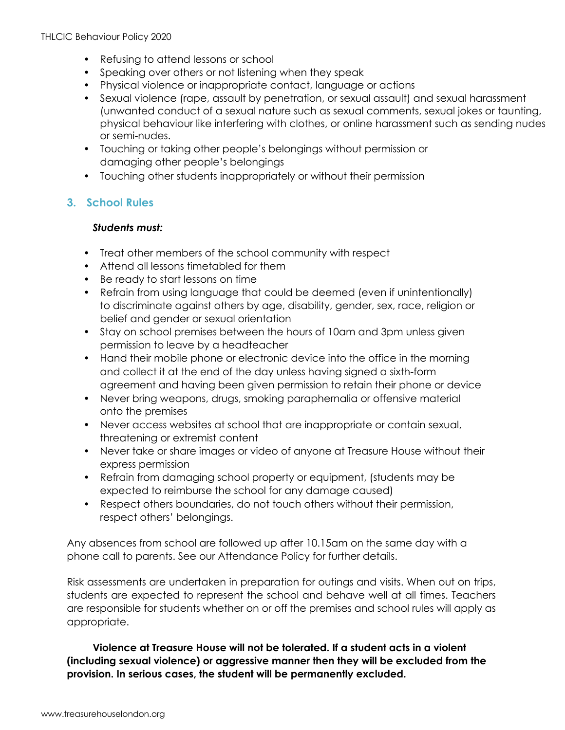- Refusing to attend lessons or school
- Speaking over others or not listening when they speak
- Physical violence or inappropriate contact, language or actions
- Sexual violence (rape, assault by penetration, or sexual assault) and sexual harassment (unwanted conduct of a sexual nature such as sexual comments, sexual jokes or taunting, physical behaviour like interfering with clothes, or online harassment such as sending nudes or semi-nudes.
- Touching or taking other people's belongings without permission or damaging other people's belongings
- Touching other students inappropriately or without their permission

# **3. School Rules**

# *Students must:*

- Treat other members of the school community with respect
- Attend all lessons timetabled for them
- Be ready to start lessons on time
- Refrain from using language that could be deemed (even if unintentionally) to discriminate against others by age, disability, gender, sex, race, religion or belief and gender or sexual orientation
- Stay on school premises between the hours of 10am and 3pm unless given permission to leave by a headteacher
- Hand their mobile phone or electronic device into the office in the morning and collect it at the end of the day unless having signed a sixth-form agreement and having been given permission to retain their phone or device
- Never bring weapons, drugs, smoking paraphernalia or offensive material onto the premises
- Never access websites at school that are inappropriate or contain sexual, threatening or extremist content
- Never take or share images or video of anyone at Treasure House without their express permission
- Refrain from damaging school property or equipment, (students may be expected to reimburse the school for any damage caused)
- Respect others boundaries, do not touch others without their permission, respect others' belongings.

Any absences from school are followed up after 10.15am on the same day with a phone call to parents. See our Attendance Policy for further details.

Risk assessments are undertaken in preparation for outings and visits. When out on trips, students are expected to represent the school and behave well at all times. Teachers are responsible for students whether on or off the premises and school rules will apply as appropriate.

**Violence at Treasure House will not be tolerated. If a student acts in a violent (including sexual violence) or aggressive manner then they will be excluded from the provision. In serious cases, the student will be permanently excluded.**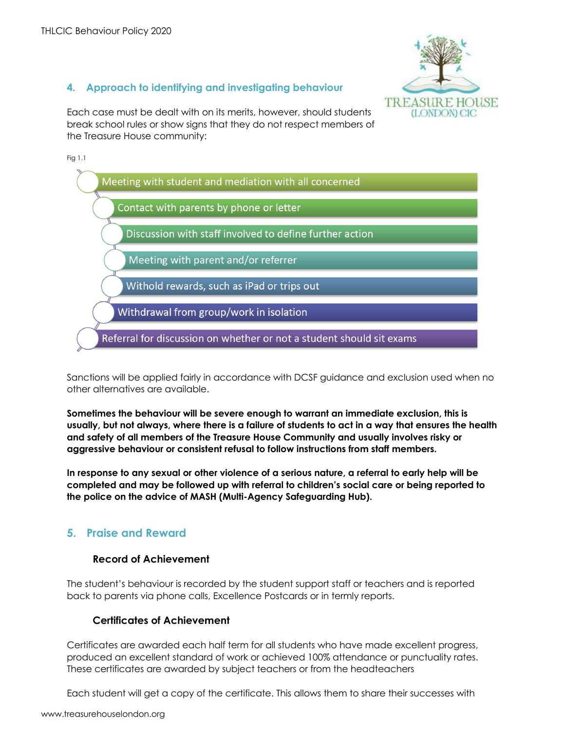

**4. Approach to identifying and investigating behaviour**

Each case must be dealt with on its merits, however, should students break school rules or show signs that they do not respect members of the Treasure House community:

Fig 1.1



Sanctions will be applied fairly in accordance with DCSF guidance and exclusion used when no other alternatives are available.

**Sometimes the behaviour will be severe enough to warrant an immediate exclusion, this is usually, but not always, where there is a failure of students to act in a way that ensures the health and safety of all members of the Treasure House Community and usually involves risky or aggressive behaviour or consistent refusal to follow instructions from staff members.**

**In response to any sexual or other violence of a serious nature, a referral to early help will be completed and may be followed up with referral to children's social care or being reported to the police on the advice of MASH (Multi-Agency Safeguarding Hub).**

# **5. Praise and Reward**

#### **Record of Achievement**

The student's behaviour is recorded by the student support staff or teachers and is reported back to parents via phone calls, Excellence Postcards or in termly reports.

# **Certificates of Achievement**

Certificates are awarded each half term for all students who have made excellent progress, produced an excellent standard of work or achieved 100% attendance or punctuality rates. These certificates are awarded by subject teachers or from the headteachers

Each student will get a copy of the certificate. This allows them to share their successes with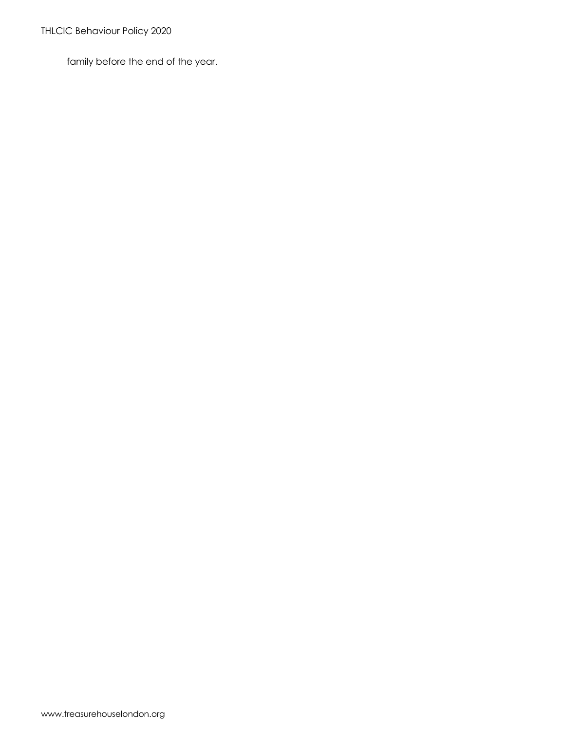family before the end of the year.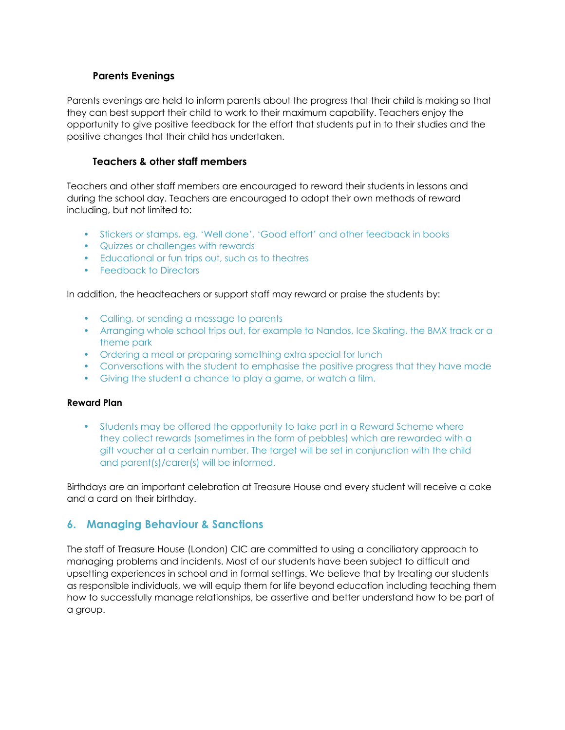## **Parents Evenings**

Parents evenings are held to inform parents about the progress that their child is making so that they can best support their child to work to their maximum capability. Teachers enjoy the opportunity to give positive feedback for the effort that students put in to their studies and the positive changes that their child has undertaken.

#### **Teachers & other staff members**

Teachers and other staff members are encouraged to reward their students in lessons and during the school day. Teachers are encouraged to adopt their own methods of reward including, but not limited to:

- Stickers or stamps, eg. 'Well done', 'Good effort' and other feedback in books
- Quizzes or challenges with rewards
- Educational or fun trips out, such as to theatres
- Feedback to Directors

In addition, the headteachers or support staff may reward or praise the students by:

- Calling, or sending a message to parents
- Arranging whole school trips out, for example to Nandos, Ice Skating, the BMX track or a theme park
- Ordering a meal or preparing something extra special for lunch
- Conversations with the student to emphasise the positive progress that they have made
- Giving the student a chance to play a game, or watch a film.

#### **Reward Plan**

• Students may be offered the opportunity to take part in a Reward Scheme where they collect rewards (sometimes in the form of pebbles) which are rewarded with a gift voucher at a certain number. The target will be set in conjunction with the child and parent(s)/carer(s) will be informed.

Birthdays are an important celebration at Treasure House and every student will receive a cake and a card on their birthday.

# **6. Managing Behaviour & Sanctions**

The staff of Treasure House (London) CIC are committed to using a conciliatory approach to managing problems and incidents. Most of our students have been subject to difficult and upsetting experiences in school and in formal settings. We believe that by treating our students as responsible individuals, we will equip them for life beyond education including teaching them how to successfully manage relationships, be assertive and better understand how to be part of a group.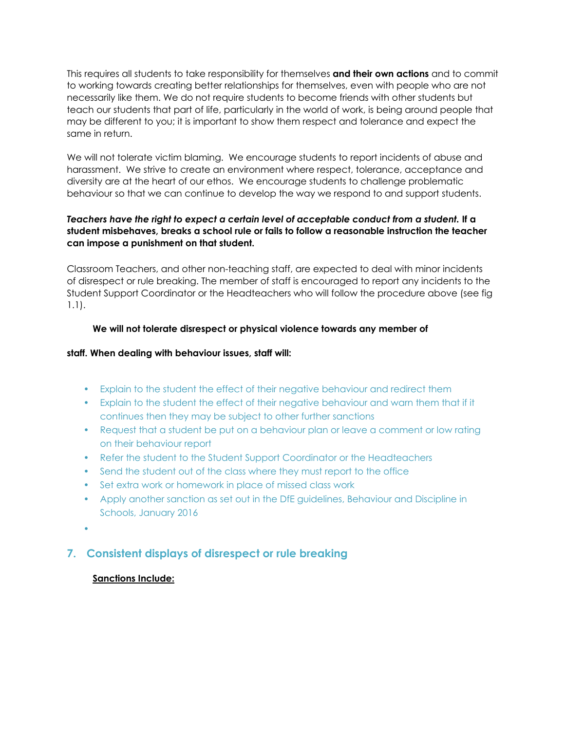This requires all students to take responsibility for themselves **and their own actions** and to commit to working towards creating better relationships for themselves, even with people who are not necessarily like them. We do not require students to become friends with other students but teach our students that part of life, particularly in the world of work, is being around people that may be different to you; it is important to show them respect and tolerance and expect the same in return.

We will not tolerate victim blaming. We encourage students to report incidents of abuse and harassment. We strive to create an environment where respect, tolerance, acceptance and diversity are at the heart of our ethos. We encourage students to challenge problematic behaviour so that we can continue to develop the way we respond to and support students.

#### *Teachers have the right to expect a certain level of acceptable conduct from a student.* **If a student misbehaves, breaks a school rule or fails to follow a reasonable instruction the teacher can impose a punishment on that student.**

Classroom Teachers, and other non-teaching staff, are expected to deal with minor incidents of disrespect or rule breaking. The member of staff is encouraged to report any incidents to the Student Support Coordinator or the Headteachers who will follow the procedure above (see fig 1.1).

## **We will not tolerate disrespect or physical violence towards any member of**

#### **staff. When dealing with behaviour issues, staff will:**

- Explain to the student the effect of their negative behaviour and redirect them
- Explain to the student the effect of their negative behaviour and warn them that if it continues then they may be subject to other further sanctions
- Request that a student be put on a behaviour plan or leave a comment or low rating on their behaviour report
- Refer the student to the Student Support Coordinator or the Headteachers
- Send the student out of the class where they must report to the office
- Set extra work or homework in place of missed class work
- Apply another sanction as set out in the DfE guidelines, Behaviour and Discipline in Schools, January 2016
- •

# **7. Consistent displays of disrespect or rule breaking**

#### **Sanctions Include:**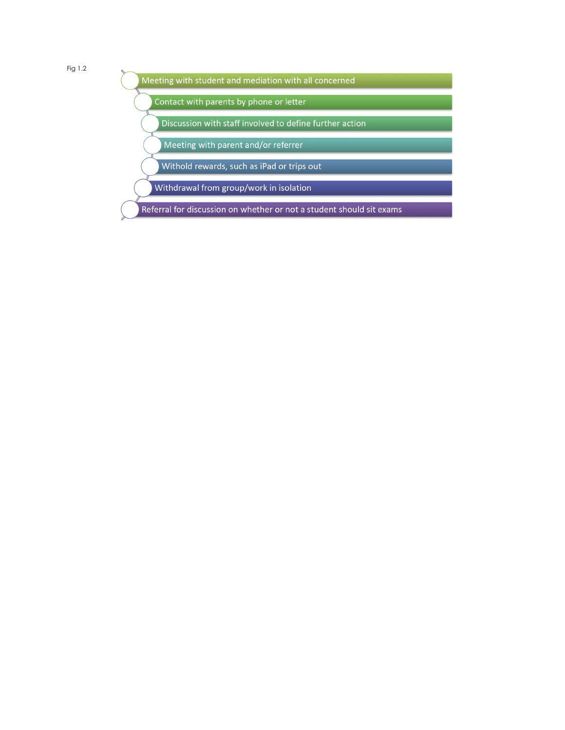Fig 1.2

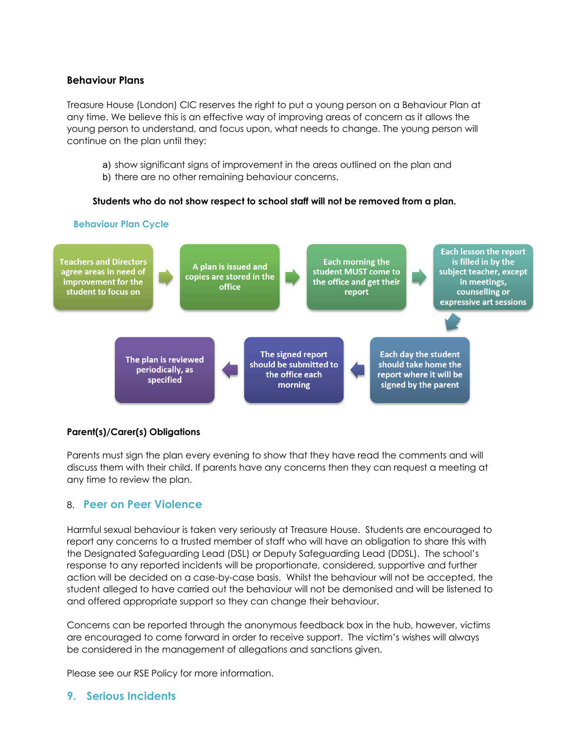#### **Behaviour Plans**

Treasure House (London) CIC reserves the right to put a young person on a Behaviour Plan at any time. We believe this is an effective way of improving areas of concern as it allows the young person to understand, and focus upon, what needs to change. The young person will continue on the plan until they:

- a) show significant signs of improvement in the areas outlined on the plan and
- b) there are no other remaining behaviour concerns.

#### **Students who do not show respect to school staff will not be removed from a plan.**



#### **Parent(s)/Carer(s) Obligations**

Parents must sign the plan every evening to show that they have read the comments and will discuss them with their child. If parents have any concerns then they can request a meeting at any time to review the plan.

# 8. **Peer on Peer Violence**

Harmful sexual behaviour is taken very seriously at Treasure House. Students are encouraged to report any concerns to a trusted member of staff who will have an obligation to share this with the Designated Safeguarding Lead (DSL) or Deputy Safeguarding Lead (DDSL). The school's response to any reported incidents will be proportionate, considered, supportive and further action will be decided on a case-by-case basis. Whilst the behaviour will not be accepted, the student alleged to have carried out the behaviour will not be demonised and will be listened to and offered appropriate support so they can change their behaviour.

Concerns can be reported through the anonymous feedback box in the hub, however, victims are encouraged to come forward in order to receive support. The victim's wishes will always be considered in the management of allegations and sanctions given.

Please see our RSE Policy for more information.

# **9. Serious Incidents**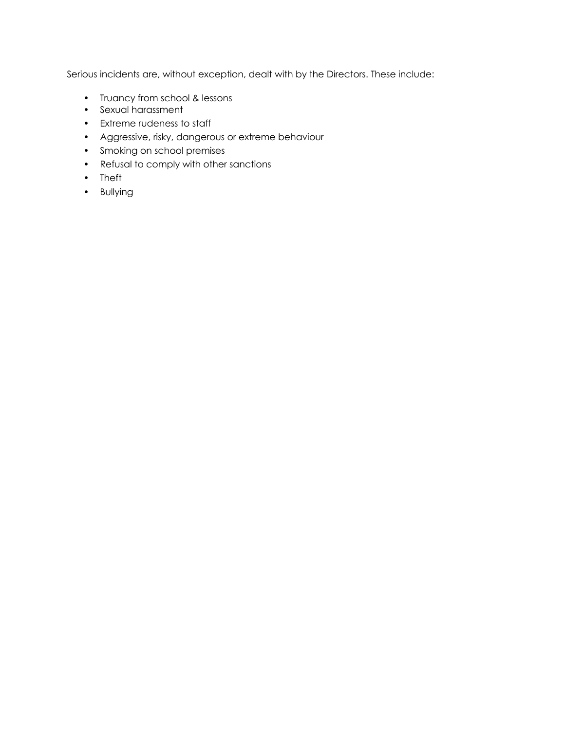Serious incidents are, without exception, dealt with by the Directors. These include:

- Truancy from school & lessons
- Sexual harassment
- Extreme rudeness to staff
- Aggressive, risky, dangerous or extreme behaviour
- Smoking on school premises
- Refusal to comply with other sanctions
- Theft
- Bullying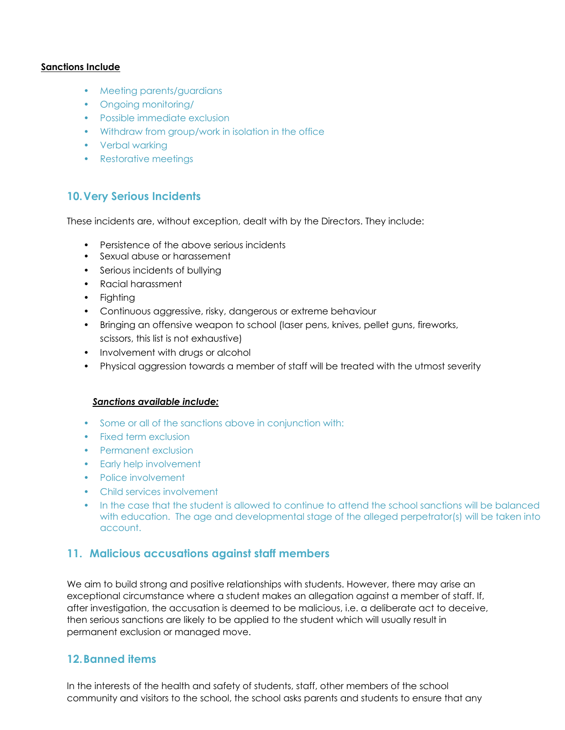#### **Sanctions Include**

- Meeting parents/guardians
- Ongoing monitoring/
- Possible immediate exclusion
- Withdraw from group/work in isolation in the office
- Verbal warking
- Restorative meetings

# **10.Very Serious Incidents**

These incidents are, without exception, dealt with by the Directors. They include:

- Persistence of the above serious incidents
- Sexual abuse or harassement
- Serious incidents of bullying
- Racial harassment
- Fighting
- Continuous aggressive, risky, dangerous or extreme behaviour
- Bringing an offensive weapon to school (laser pens, knives, pellet guns, fireworks, scissors, this list is not exhaustive)
- Involvement with drugs or alcohol
- Physical aggression towards a member of staff will be treated with the utmost severity

#### *Sanctions available include:*

- Some or all of the sanctions above in conjunction with:
- Fixed term exclusion
- Permanent exclusion
- Early help involvement
- Police involvement
- Child services involvement
- In the case that the student is allowed to continue to attend the school sanctions will be balanced with education. The age and developmental stage of the alleged perpetrator(s) will be taken into account.

# **11. Malicious accusations against staff members**

We aim to build strong and positive relationships with students. However, there may arise an exceptional circumstance where a student makes an allegation against a member of staff. If, after investigation, the accusation is deemed to be malicious, i.e. a deliberate act to deceive, then serious sanctions are likely to be applied to the student which will usually result in permanent exclusion or managed move.

#### **12.Banned items**

In the interests of the health and safety of students, staff, other members of the school community and visitors to the school, the school asks parents and students to ensure that any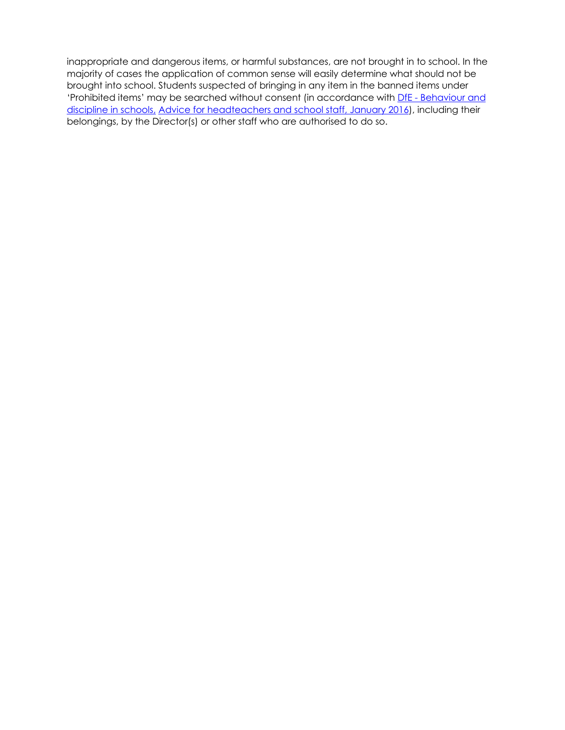inappropriate and dangerous items, or harmful substances, are not brought in to school. In the majority of cases the application of common sense will easily determine what should not be brought into school. Students suspected of bringing in any item in the banned items under 'Prohibited items' may be searched without consent (in accordance with DfE - Behaviour and discipline in schools, Advice for headteachers and school staff, January 2016), including their belongings, by the Director(s) or other staff who are authorised to do so.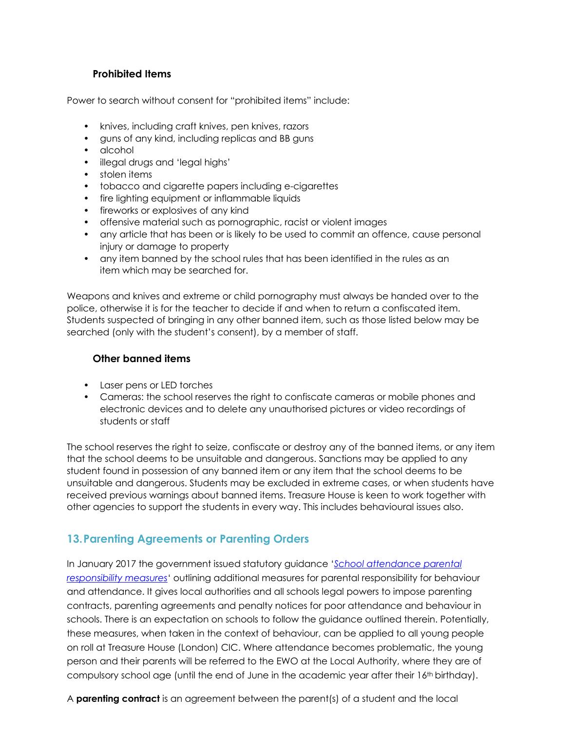## **Prohibited Items**

Power to search without consent for "prohibited items" include:

- knives, including craft knives, pen knives, razors
- guns of any kind, including replicas and BB guns
- alcohol
- illegal drugs and 'legal highs'
- stolen items
- tobacco and cigarette papers including e-cigarettes
- fire lighting equipment or inflammable liquids
- fireworks or explosives of any kind
- offensive material such as pornographic, racist or violent images
- any article that has been or is likely to be used to commit an offence, cause personal injury or damage to property
- any item banned by the school rules that has been identified in the rules as an item which may be searched for.

Weapons and knives and extreme or child pornography must always be handed over to the police, otherwise it is for the teacher to decide if and when to return a confiscated item. Students suspected of bringing in any other banned item, such as those listed below may be searched (only with the student's consent), by a member of staff.

#### **Other banned items**

- Laser pens or LED torches
- Cameras: the school reserves the right to confiscate cameras or mobile phones and electronic devices and to delete any unauthorised pictures or video recordings of students or staff

The school reserves the right to seize, confiscate or destroy any of the banned items, or any item that the school deems to be unsuitable and dangerous. Sanctions may be applied to any student found in possession of any banned item or any item that the school deems to be unsuitable and dangerous. Students may be excluded in extreme cases, or when students have received previous warnings about banned items. Treasure House is keen to work together with other agencies to support the students in every way. This includes behavioural issues also.

# **13.Parenting Agreements or Parenting Orders**

In January 2017 the government issued statutory guidance '*School attendance parental responsibility measures*' outlining additional measures for parental responsibility for behaviour and attendance. It gives local authorities and all schools legal powers to impose parenting contracts, parenting agreements and penalty notices for poor attendance and behaviour in schools. There is an expectation on schools to follow the guidance outlined therein. Potentially, these measures, when taken in the context of behaviour, can be applied to all young people on roll at Treasure House (London) CIC. Where attendance becomes problematic, the young person and their parents will be referred to the EWO at the Local Authority, where they are of compulsory school age (until the end of June in the academic year after their 16<sup>th</sup> birthday).

A **parenting contract** is an agreement between the parent(s) of a student and the local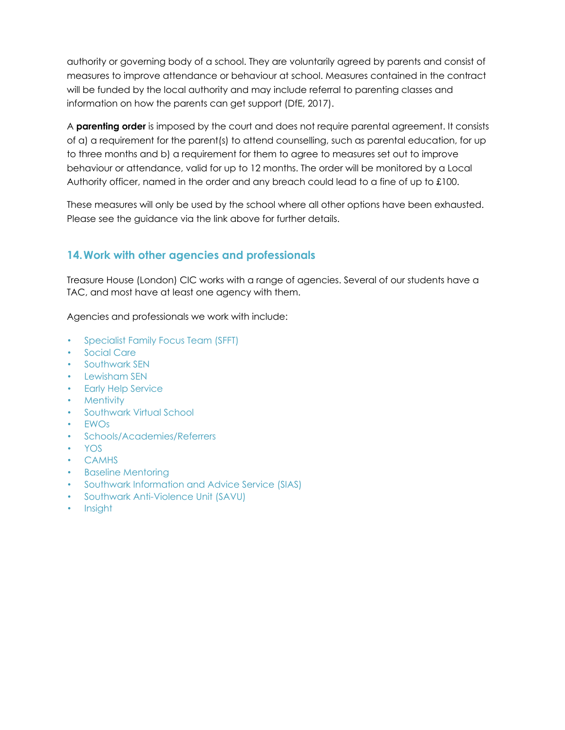authority or governing body of a school. They are voluntarily agreed by parents and consist of measures to improve attendance or behaviour at school. Measures contained in the contract will be funded by the local authority and may include referral to parenting classes and information on how the parents can get support (DfE, 2017).

A **parenting order** is imposed by the court and does not require parental agreement. It consists of a) a requirement for the parent(s) to attend counselling, such as parental education, for up to three months and b) a requirement for them to agree to measures set out to improve behaviour or attendance, valid for up to 12 months. The order will be monitored by a Local Authority officer, named in the order and any breach could lead to a fine of up to £100.

These measures will only be used by the school where all other options have been exhausted. Please see the guidance via the link above for further details.

# **14.Work with other agencies and professionals**

Treasure House (London) CIC works with a range of agencies. Several of our students have a TAC, and most have at least one agency with them.

Agencies and professionals we work with include:

- Specialist Family Focus Team (SFFT)
- Social Care
- Southwark SEN
- Lewisham SEN
- Early Help Service
- Mentivity
- Southwark Virtual School
- EWOs
- Schools/Academies/Referrers
- YOS
- CAMHS
- Baseline Mentoring
- Southwark Information and Advice Service (SIAS)
- Southwark Anti-Violence Unit (SAVU)
- Insight